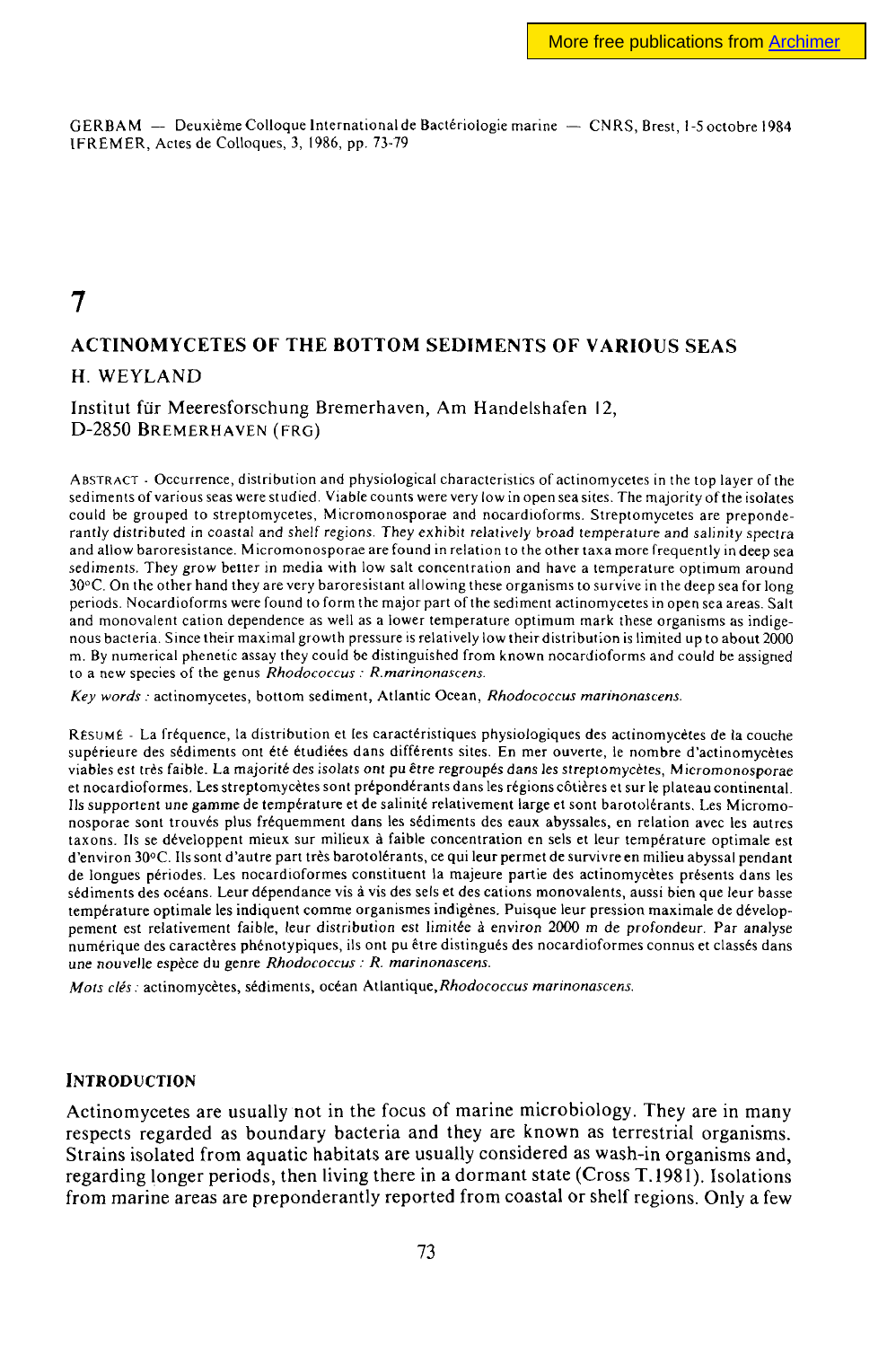GERBAM — Deuxième Colloque International de Bactériologie marine — CNRS, Brest, 1-5 octobre 1984 IFREMER, Actes de Colloques, 3, 1986, pp. 73-79

# **7**

## **ACTINOMYCETES OF THE BOTTOM SEDIMENTS OF VARIOUS SEAS**

### H. WEYLAND

Institut fur Meeresforschung Bremerhaven, Am Handelshafen 12, D-2850 BREMERHAVEN (FRG)

ABSTRACT - Occurrence, distribution and physiological characteristics of actinomycetes in the top layer of the sediments of various seas were studied. Viable counts were very low in open sea sites. The majority of the isolates could be grouped to streptomycetes, Micromonosporae and nocardioforms. Streptomycetes are preponderantly distributed in coastal and shelf regions. They exhibit relatively broad temperature and salinity spectra and allow baroresistance. Micromonosporae are found in relation to the other taxa more frequently in deep sea sediments. They grow better in media with low salt concentration and have a temperature optimum around 30°C. On the other hand they are very baroresistant all owing these organisms to survive in the deep sea for long periods. Nocardioforms were found to form the major part of the sediment actinomycetes in open sea areas. Salt and monovalent cation dependence as well as a lower temperature optimum mark these organisms as indigenous bacteria. Since their maximal growth pressure is relatively low their distribution is limited up to about 2000 m. By numerical phenetic assay they could be distinguished from known nocardioforms and could be assigned to a new species of the genus *Rhodococcus : R.marinonascens.* 

*Key words :* actinomycetes, bottom sediment, Atlantic Ocean, *Rhodococcus marinonascens.* 

RÉSUMÉ - La fréquence, la distribution et les caractéristiques physiologiques des actinomycètes de la couche supérieure des sédiments ont été étudiées dans différents sites. En mer ouverte, le nombre d'actinomycètes viables est très faible. La majorité des isolais ont pu *être* regroupés dans les streptomycetes, Micromonosporae et nocardioformes. Les streptomycetes sont prépondérants dans les régions côtières et sur le plateau continental. Us supportent une gamme de température et de salinité relativement large et sont barotolérants. Les Micromonosporae sont trouvés plus fréquemment dans les sédiments des eaux abyssales, en relation avec les autres taxons. Ils se développent mieux sur milieux à faible concentration en sels et leur température optimale est d'environ 30°C. Ils sont d'autre part très barotolérants, ce qui leur permet de survivre en milieu abyssal pendant de longues périodes. Les nocardioformes constituent la majeure partie des actinomycetes présents dans les sédiments des océans. Leur dépendance vis à vis des sels et des cations monovalents, aussi bien que leur basse température optimale les indiquent comme organismes indigènes. Puisque leur pression maximale de développement est relativement faible, leur distribution est limitée à environ 2000 m de profondeur. Par analyse numérique des caractères phénotypiques, ils ont pu être distingués des nocardioformes connus et classés dans une nouvelle espèce du genre *Rhodococcus : R. marinonascens.* 

Mois clés : actinomycètes, sédiments, océan Atlantique, Rhodococcus marinonascens.

#### **INTRODUCTION**

Actinomycetes are usually not in the focus of marine microbiology. They are in many respects regarded as boundary bacteria and they are known as terrestrial organisms. Strains isolated from aquatic habitats are usually considered as wash-in organisms and, regarding longer periods, then living there in a dormant state (Cross T. 1981). Isolations from marine areas are preponderantly reported from coastal or shelf regions. Only a few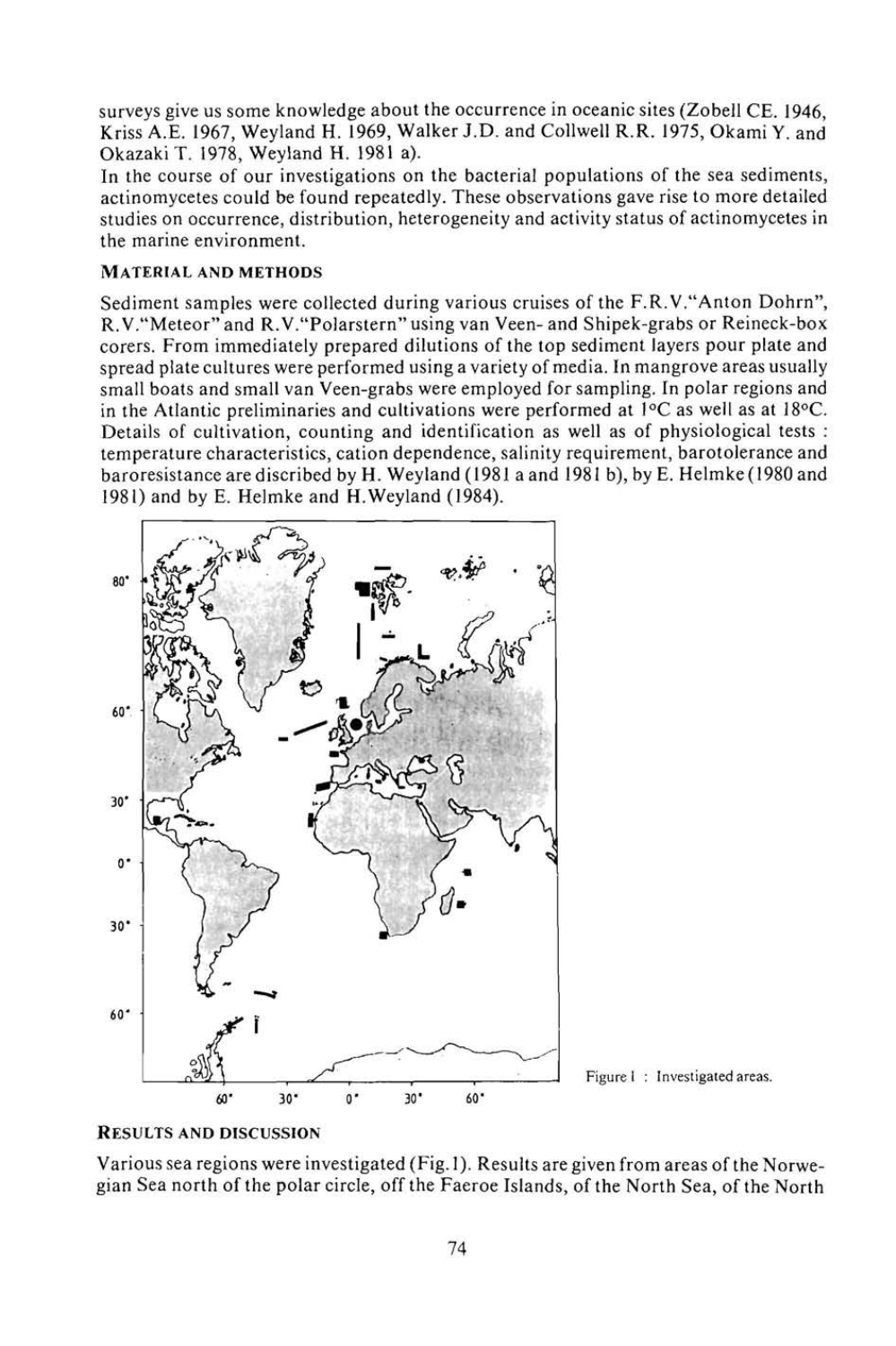surveys give us some knowledge about the occurrence in oceanic sites (Zobell CE. 1946, Kriss A.E. 1967, Weyland H. 1969, Walker J.D. and Collwell R.R. 1975, Okami Y. and OkazakiT. 1978, Weyland H. 1981 a).

In the course of our investigations on the bacterial populations of the sea sediments, actinomycetes could be found repeatedly. These observations gave rise to more detailed studies on occurrence, distribution, heterogeneity and activity status of actinomycetes in the marine environment.

### **MATERIAL AND METHODS**

Sediment samples were collected during various cruises of the F.R.V."Anton Dohrn", R. V."Meteor" and R.V."Polarstern" using van Veen- and Shipek-grabs or Reineck-box corers. From immediately prepared dilutions of the top sediment layers pour plate and spread plate cultures were performed using a variety of media. In mangrove areas usually small boats and small van Veen-grabs were employed for sampling. In polar regions and in the Atlantic preliminaries and cultivations were performed at  $1\degree$ C as well as at  $18\degree$ C. Details of cultivation, counting and identification as well as of physiological tests : temperature characteristics, cation dependence, salinity requirement, barotolerance and baroresistancearediscribed by H. Weyland (1981 a and 1981 b), by E. Helmke( 1980 and 1981) and by E. Helmke and H.Weyland (1984).



Figure I : Investigated areas.

#### RESULTS AND **DISCUSSION**

Various sea regions were investigated (Fig. 1). Results are given from areas of the Norwegian Sea north of the polar circle, off the Faeroe Islands, of the North Sea, of the North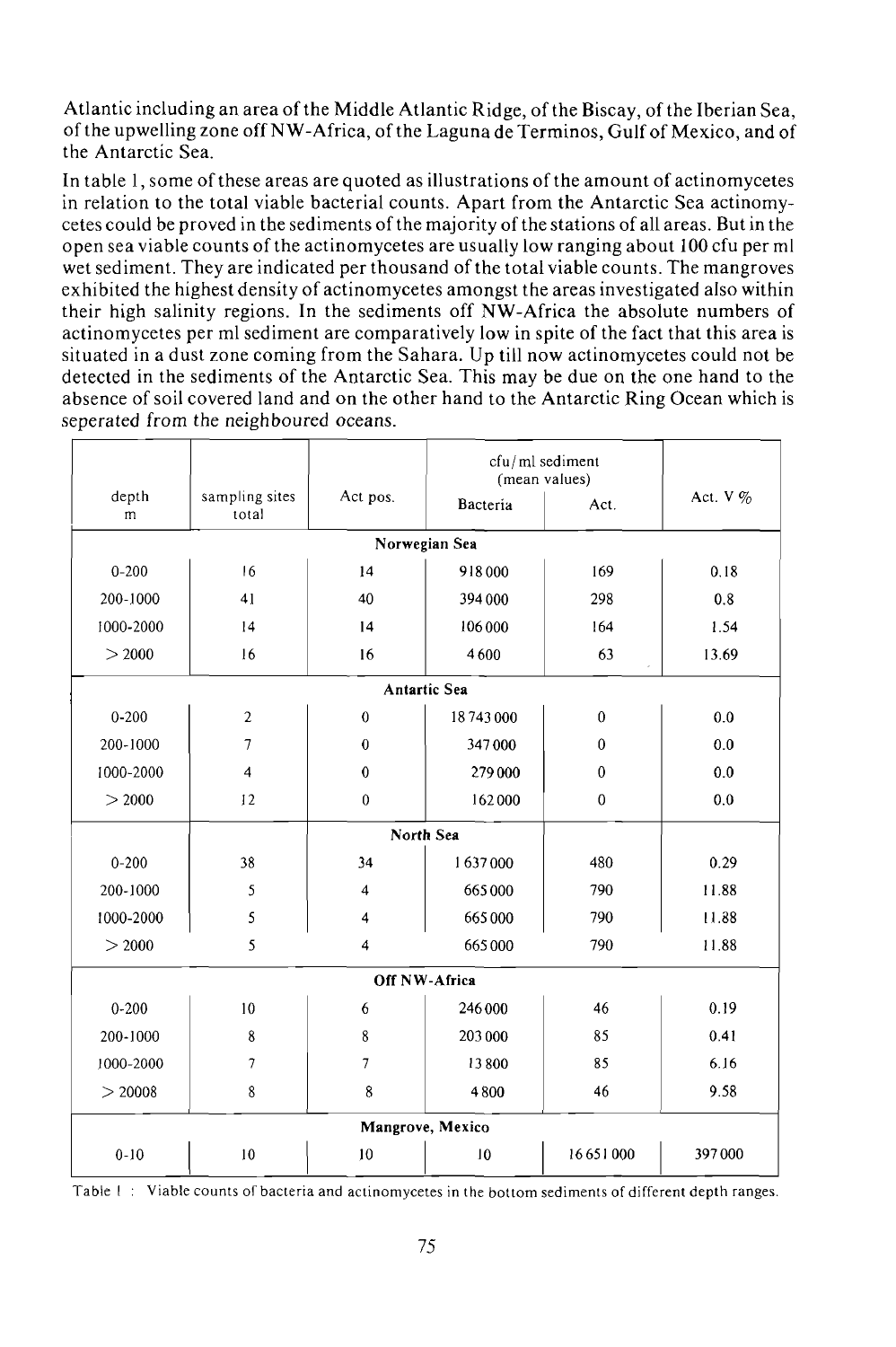Atlantic including an area of the Middle Atlantic Ridge, of the Biscay, of the Iberian Sea, of the upwelling zone off NW-Africa, of the Laguna de Terminos, Gulf of Mexico, and of the Antarctic Sea.

In table 1, some of these areas are quoted as illustrations of the amount of actinomycetes in relation to the total viable bacterial counts. Apart from the Antarctic Sea actinomycetes could be proved in the sediments of the majority of the stations of all areas. But in the open sea viable counts of the actinomycetes are usually low ranging about 100 cfu per ml wet sediment. They are indicated per thousand of the total viable counts. The mangroves exhibited the highest density of actinomycetes amongst the areas investigated also within their high salinity regions. In the sediments off NW-Africa the absolute numbers of actinomycetes per ml sediment are comparatively low in spite of the fact that this area is situated in a dust zone coming from the Sahara. Up till now actinomycetes could not be detected in the sediments of the Antarctic Sea. This may be due on the one hand to the absence of soil covered land and on the other hand to the Antarctic Ring Ocean which is seperated from the neighboured oceans.

|                     |                          |                | cfu/ml sediment<br>(mean values) |              |            |  |  |  |
|---------------------|--------------------------|----------------|----------------------------------|--------------|------------|--|--|--|
| depth<br>m          | sampling sites<br>total  | Act pos.       | Bacteria                         | Act.         | Act. $V\%$ |  |  |  |
| Norwegian Sea       |                          |                |                                  |              |            |  |  |  |
| $0 - 200$           | 16                       | 14             | 918000                           | 169          | 0.18       |  |  |  |
| 200-1000            | 41                       | 40             | 394 000                          | 298          | 0.8        |  |  |  |
| 1000-2000           | 14                       | 14             | 106 000                          | 164          | 1.54       |  |  |  |
| > 2000              | 16                       | 16             | 4600                             | 63           | 13.69      |  |  |  |
| <b>Antartic Sea</b> |                          |                |                                  |              |            |  |  |  |
| $0 - 200$           | $\overline{2}$           | $\theta$       | 18743000                         | $\mathbf{0}$ | 0.0        |  |  |  |
| 200-1000            | $\overline{\phantom{a}}$ | $\bf{0}$       | 347000                           | $\theta$     | 0.0        |  |  |  |
| 1000-2000           | $\overline{\mathbf{4}}$  | $\theta$       | 279000                           | $\theta$     | 0.0        |  |  |  |
| > 2000              | 12                       | $\mathbf{0}$   | 162000                           | $\mathbf{0}$ | 0.0        |  |  |  |
|                     |                          |                |                                  |              |            |  |  |  |
| $0 - 200$           | 38                       | 34             | 1637000                          | 480          | 0.29       |  |  |  |
| 200-1000            | 5                        | $\overline{4}$ | 665000                           | 790          | 11.88      |  |  |  |
| 1000-2000           | 5                        | 4              | 665000                           | 790          | 11.88      |  |  |  |
| > 2000              | 5                        | $\overline{4}$ | 665000                           | 790          | 11.88      |  |  |  |
| Off NW-Africa       |                          |                |                                  |              |            |  |  |  |
| $0 - 200$           | 10                       | 6              | 246 000                          | 46           | 0.19       |  |  |  |
| 200-1000            | 8                        | 8              | 203 000                          | 85           | 0.41       |  |  |  |
| 1000-2000           | $\overline{\phantom{a}}$ | $\overline{7}$ | 13800                            | 85           | 6.16       |  |  |  |
| $>$ 20008           | 8                        | 8              | 4800                             | 46           | 9.58       |  |  |  |
| Mangrove, Mexico    |                          |                |                                  |              |            |  |  |  |
| $0 - 10$            | 10                       | 10             | 10                               | 16651000     | 397000     |  |  |  |

Table I : Viable counts of bacteria and actinomycetes in the bottom sediments of different depth ranges.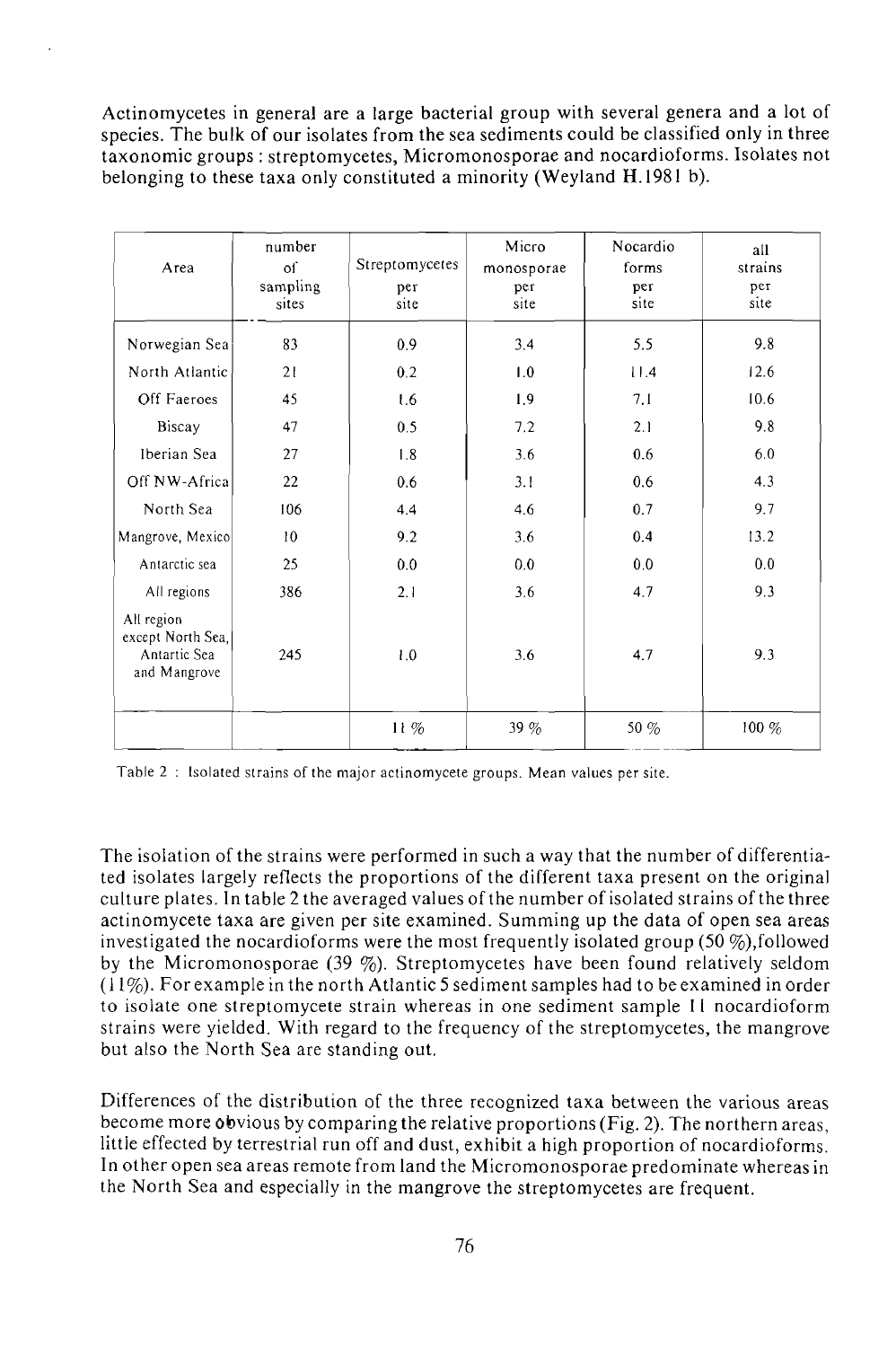Actinomycetes in general are a large bacterial group with several genera and a lot of species. The bulk of our isolates from the sea sediments could be classified only in three taxonomic groups : streptomycetes, Micromonosporae and nocardioforms. Isolates not belonging to these taxa only constituted a minority (Weyland H.1981 b).

| Агеа                                                            | number<br>of<br>sampling<br>sites | Streptomycetes<br>per<br>site | Micro<br>monosporae<br>per<br>site | Nocardio<br>forms<br>per<br>site | all<br>strains<br>рег<br>site |
|-----------------------------------------------------------------|-----------------------------------|-------------------------------|------------------------------------|----------------------------------|-------------------------------|
| Norwegian Sea                                                   | 83                                | 0.9                           | 3.4                                | 5.5                              | 9.8                           |
| North Atlantic                                                  | 21                                | 0.2                           | 1.0                                | 11.4                             | 12.6                          |
| Off Faeroes                                                     | 45                                | 1.6                           | 1.9                                | 7.1                              | 10.6                          |
| Biscay                                                          | 47                                | 0.5                           | 7.2                                | 2.1                              | 9.8                           |
| Iberian Sea                                                     | 27                                | 1.8                           | 3.6                                | 0.6                              | 6.0                           |
| Off NW-Africal                                                  | 22                                | 0.6                           | 3.1                                | 0.6                              | 4.3                           |
| North Sea                                                       | 106                               | 4.4                           | 4.6                                | 0.7                              | 9.7                           |
| Mangrove, Mexico                                                | 10                                | 9.2                           | 3.6                                | 0.4                              | 13.2                          |
| Antarctic sea                                                   | 25                                | 0.0                           | 0.0                                | 0.0                              | 0.0                           |
| All regions                                                     | 386                               | 2.1                           | 3.6                                | 4,7                              | 9.3                           |
| All region<br>except North Sea,<br>Antartic Sea<br>and Mangrove | 245                               | 1.0                           | 3.6                                | 4.7                              | 9.3                           |
|                                                                 |                                   | $11\%$                        | 39%                                | 50 %                             | 100 %                         |

Table 2 : Isolated strains of the major actinomycete groups. Mean values per site.

The isolation of the strains were performed in such a way that the number of differentiated isolates largely reflects the proportions of the different taxa present on the original culture plates. In table 2 the averaged values of the number of isolated strains of the three actinomycete taxa are given per site examined. Summing up the data of open sea areas investigated the nocardioforms were the most frequently isolated group (50 $\%$ ),followed by the Micromonosporae (39  $\%$ ). Streptomycetes have been found relatively seldom (11%). For example in the north Atlantic 5 sediment samples had to be examined in order to isolate one streptomycete strain whereas in one sediment sample 11 nocardioform strains were yielded. With regard to the frequency of the streptomycetes, the mangrove but also the North Sea are standing out.

Differences of the distribution of the three recognized taxa between the various areas become more obvious by comparing the relative proportions (Fig. 2). The northern areas, little effected by terrestrial run off and dust, exhibit a high proportion of nocardioforms. In other open sea areas remote from land the Micromonosporae predominate whereas in the North Sea and especially in the mangrove the streptomycetes are frequent.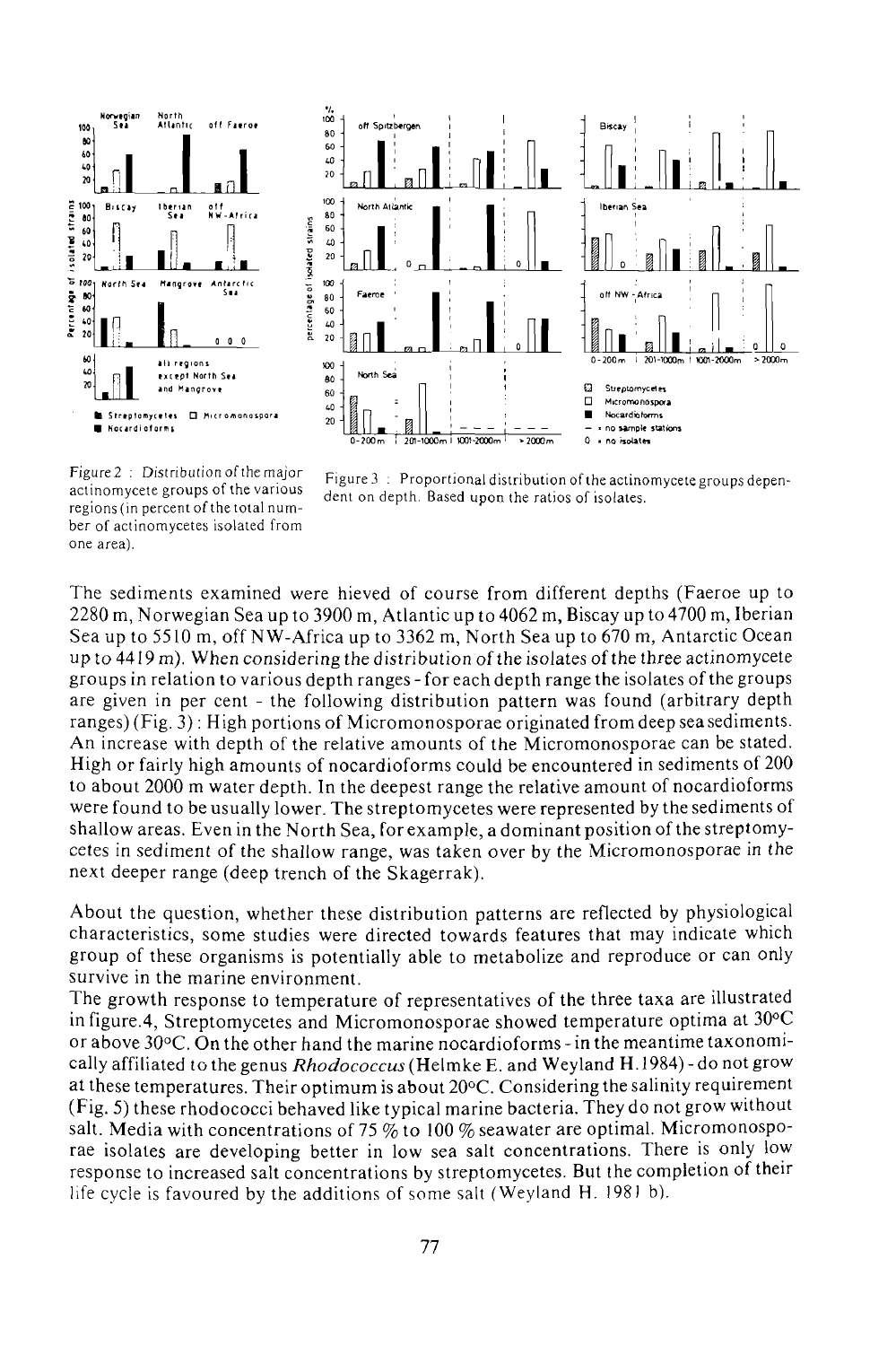



regions (in percent of the total number of actinomycetes isolated from one area)

Figure 2 : Distribution of the major Figure 3 : Proportional distribution of the actinomycete groups depen-<br>catino museum catholic steamings actinomycete groups of the various dent on depth. Based upon the ratios of isolates.

The sediments examined were hieved of course from different depths (Faeroe up to 2280 m, Norwegian Sea up to 3900 m, Atlantic up to 4062 m, Biscay up to 4700 m, Iberian Sea up to 5510 m, off NW-Africa up to 3362 m, North Sea up to 670 m, Antarctic Ocean up to  $4419$  m). When considering the distribution of the isolates of the three actinomycete groups in relation to various depth ranges - for each depth range the isolates of the groups are given in per cent - the following distribution pattern was found (arbitrary depth ranges) (Fig. 3) : High portions of Micromonosporae originated from deep sea sediments. An increase with depth of the relative amounts of the Micromonosporae can be stated. High or fairly high amounts of nocardioforms could be encountered in sediments of 200 to about 2000 m water depth. In the deepest range the relative amount of nocardioforms were found to be usually lower. The streptomycetes were represented by the sediments of shallow areas. Even in the North Sea, for example, a dominant position of the streptomycetes in sediment of the shallow range, was taken over by the Micromonosporae in the next deeper range (deep trench of the Skagerrak).

About the question, whether these distribution patterns are reflected by physiological characteristics, some studies were directed towards features that may indicate which group of these organisms is potentially able to metabolize and reproduce or can only survive in the marine environment.

The growth response to temperature of representatives of the three taxa are illustrated in figure.4, Streptomycetes and Micromonosporae showed temperature optima at 30°C or above 30°C. On the other hand the marine nocardioforms - in the meantime taxonomically affiliated to the genus *Rhodococcus* (Helmke E. and Weyland H. 1984) - do not grow at these temperatures. Their optimum is about 20°C. Considering the salinity requirement (Fig. 5) these rhodococci behaved like typical marine bacteria. They do not grow without salt. Media with concentrations of 75  $\%$  to 100  $\%$  seawater are optimal. Micromonosporae isolates are developing better in low sea salt concentrations. There is only low response to increased salt concentrations by streptomycetes. But the completion of their life cycle is favoured by the additions of some salt (Weyland H. 198) b).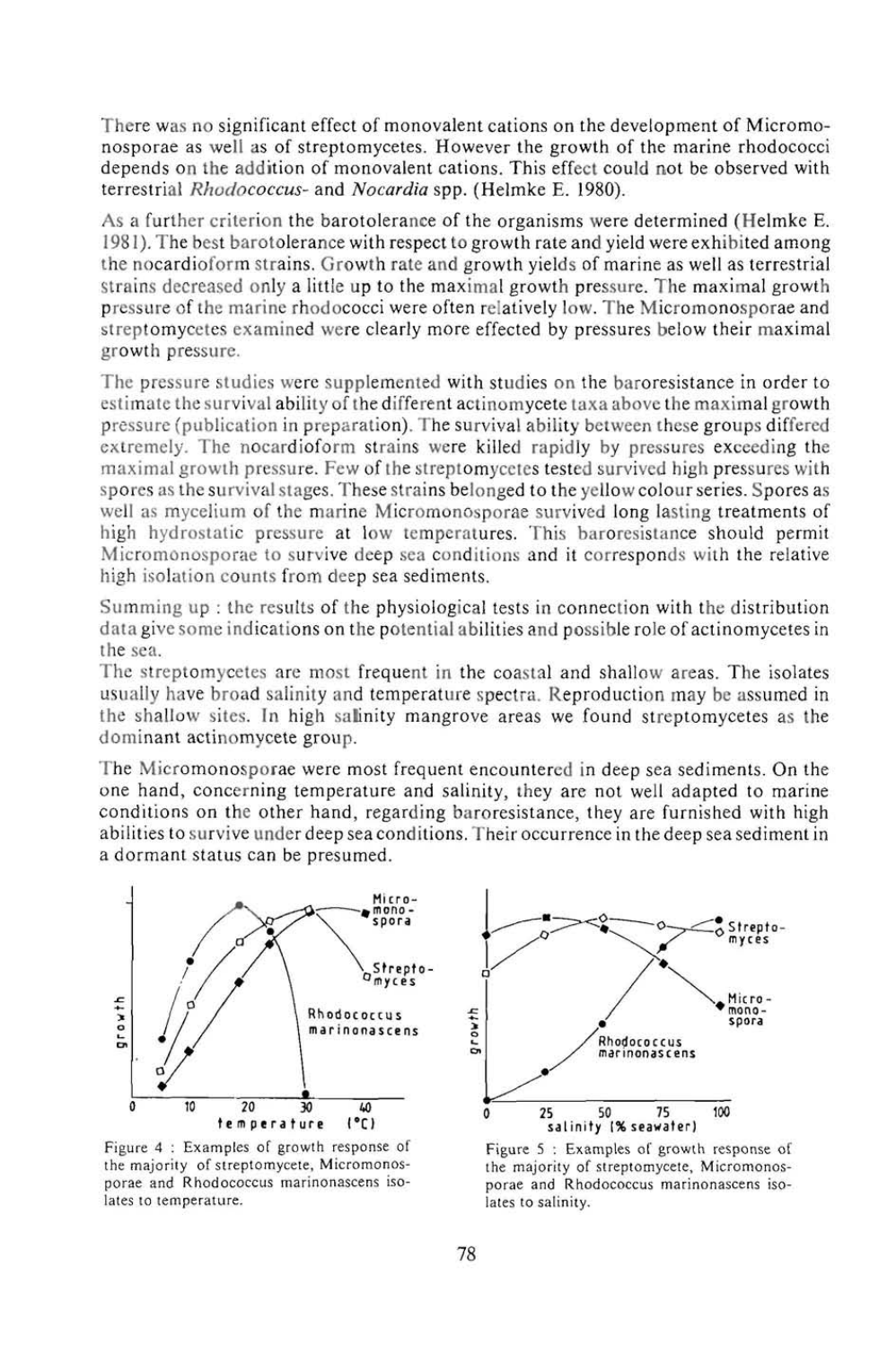There was no significant effect of monovalent cations on the development of Micromonosporae as well as of streptomycetes. However the growth of the marine rhodococci depends on the addition of monovalent cations. This effect could not be observed with terrestrial *Rhodococcus-* and *Nocardia* spp. (Helmke E. 1980).

As a further criterion the barotolerance of the organisms were determined (Helmke E. 198 (). The best barotolerance with respect to growth rate and yield were exhibited among the nocardioforrn strains. Growth rate and growth yields of marine as well as terrestrial Strains decreased only a little up to the maximal growth pressure. The maximal growth pressure of the marine rhodococci were often relatively low. The Micromonosporae and streptomycetes examined were clearly more effected by pressures below their maximal growth pressure.

The pressure studies were supplemented with studies on the baroresistance in order to estimate the survival ability of the different actinomycete taxa above the maximal growth pressure (publication in preparation). The survival ability between these groups differed extremely. The nocardioforrn strains were killed rapidly by pressures exceeding the maximal growth pressure. Few of the streptomycetes tested survived high pressures with spores as the survival stages. These strains belonged to the yellow colour series. Spores as well as mycelium of the marine Micromonosporae survived long lasting treatments of high hydrostatic pressure at low temperatures. This baroresistance should permit Micromonosporae to survive deep sea conditions and it corresponds with the relative high isolation counts from deep sea sediments.

Summing up : the results of the physiological tests in connection with the distribution data givesome indications on the potential abilities and possible role of actinomycetes in the sea.

The streptomycetes are most frequent in the coastal and shallow areas. The isolates usually have broad salinity and temperature spectra. Reproduction may be assumed in the shallow sites. In high salinity mangrove areas we found streptomycetes as the dominant actinomycete group.

The Micromonosporae were most frequent encountered in deep sea sediments. On the one hand, concerning temperature and salinity, they are not well adapted to marine conditions on the other hand, regarding baroresistance, they are furnished with high abilities to survive under deep sea conditions. Their occurrence in the deep sea sediment in a dormant status can be presumed.



Figure 4 : Examples of growth response of Figure 5 : Examples of growth response of the majority of streptomycete, Micromonos-<br>
porae and Rhodococcus marinonascens iso-<br>
porae and Rhodococcus marinonascens isolates to temperature.  $\qquad \qquad$  lates to salinity.



porae and Rhodococcus marinonascens iso-